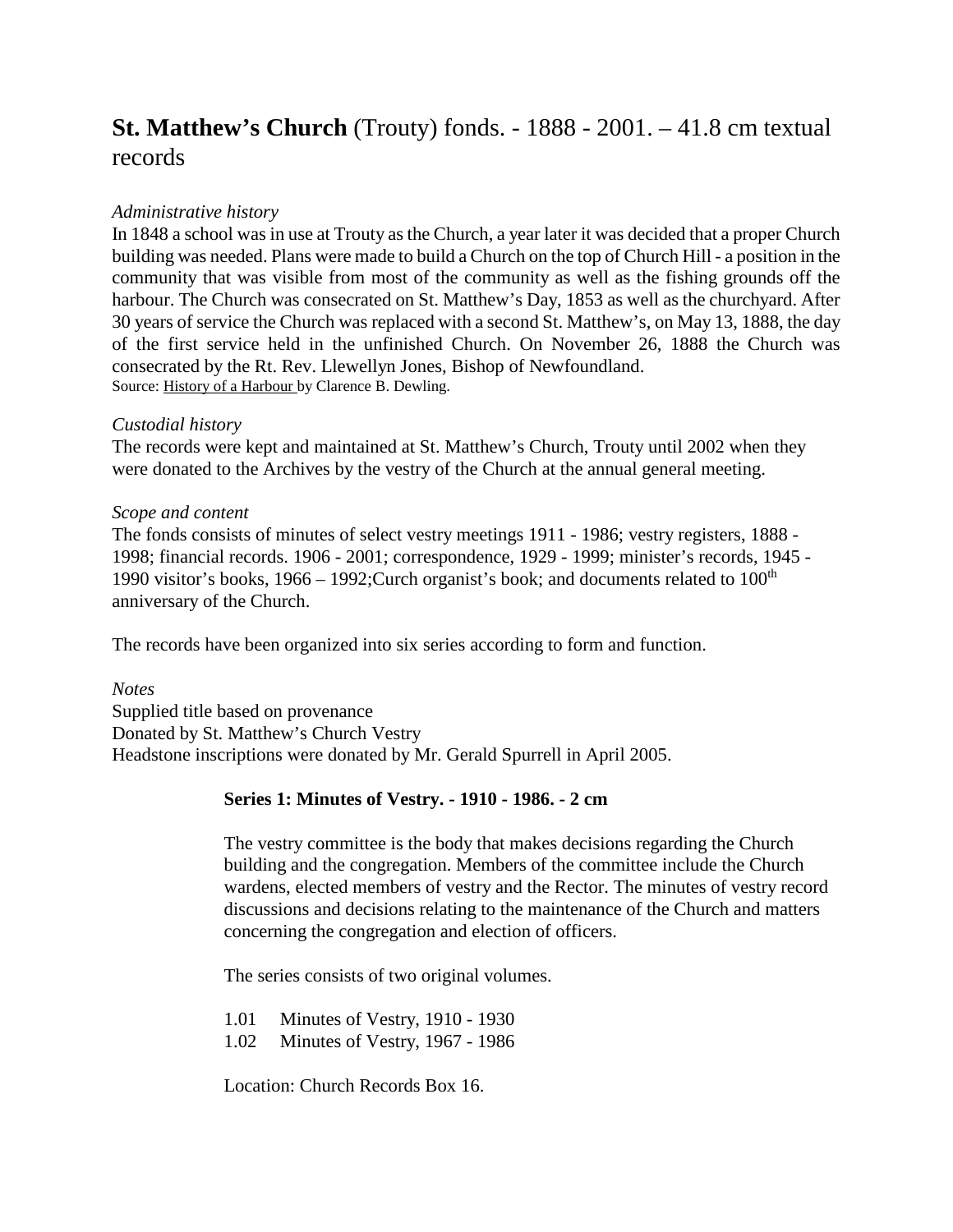# **St. Matthew's Church** (Trouty) fonds. - 1888 - 2001. – 41.8 cm textual records

# *Administrative history*

In 1848 a school was in use at Trouty as the Church, a year later it was decided that a proper Church building was needed. Plans were made to build a Church on the top of Church Hill - a position in the community that was visible from most of the community as well as the fishing grounds off the harbour. The Church was consecrated on St. Matthew's Day, 1853 as well as the churchyard. After 30 years of service the Church was replaced with a second St. Matthew's, on May 13, 1888, the day of the first service held in the unfinished Church. On November 26, 1888 the Church was consecrated by the Rt. Rev. Llewellyn Jones, Bishop of Newfoundland. Source: History of a Harbour by Clarence B. Dewling.

## *Custodial history*

The records were kept and maintained at St. Matthew's Church, Trouty until 2002 when they were donated to the Archives by the vestry of the Church at the annual general meeting.

## *Scope and content*

The fonds consists of minutes of select vestry meetings 1911 - 1986; vestry registers, 1888 - 1998; financial records. 1906 - 2001; correspondence, 1929 - 1999; minister's records, 1945 - 1990 visitor's books,  $1966 - 1992$ ; Curch organist's book; and documents related to  $100<sup>th</sup>$ anniversary of the Church.

The records have been organized into six series according to form and function.

### *Notes*

Supplied title based on provenance Donated by St. Matthew's Church Vestry Headstone inscriptions were donated by Mr. Gerald Spurrell in April 2005.

## **Series 1: Minutes of Vestry. - 1910 - 1986. - 2 cm**

The vestry committee is the body that makes decisions regarding the Church building and the congregation. Members of the committee include the Church wardens, elected members of vestry and the Rector. The minutes of vestry record discussions and decisions relating to the maintenance of the Church and matters concerning the congregation and election of officers.

The series consists of two original volumes.

1.01 Minutes of Vestry, 1910 - 1930

1.02 Minutes of Vestry, 1967 - 1986

Location: Church Records Box 16.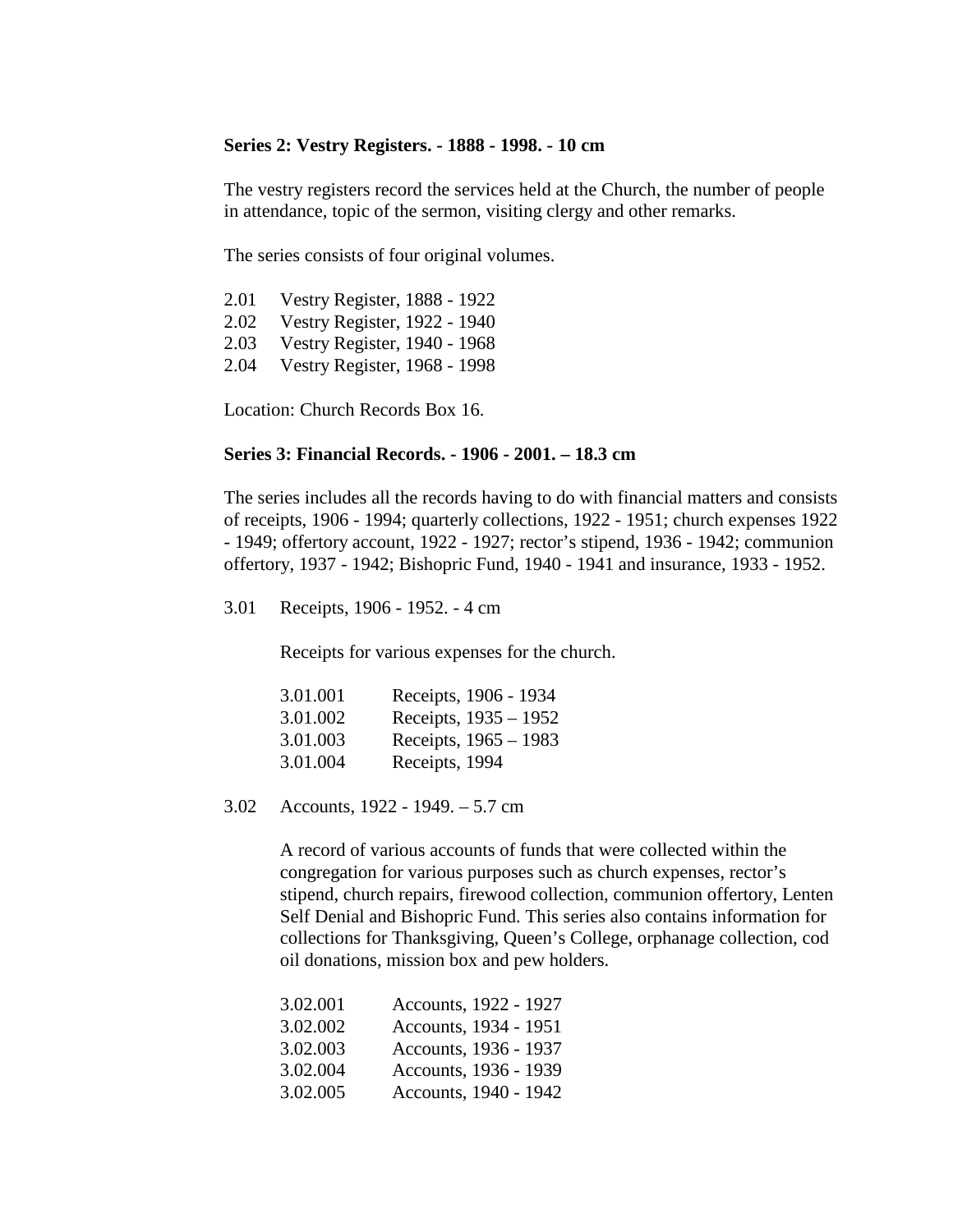#### **Series 2: Vestry Registers. - 1888 - 1998. - 10 cm**

The vestry registers record the services held at the Church, the number of people in attendance, topic of the sermon, visiting clergy and other remarks.

The series consists of four original volumes.

| 2.01 | <b>Vestry Register, 1888 - 1922</b> |
|------|-------------------------------------|
| 2.02 | Vestry Register, 1922 - 1940        |
| 2.03 | Vestry Register, 1940 - 1968        |
| 2.04 | Vestry Register, 1968 - 1998        |

Location: Church Records Box 16.

#### **Series 3: Financial Records. - 1906 - 2001. – 18.3 cm**

The series includes all the records having to do with financial matters and consists of receipts, 1906 - 1994; quarterly collections, 1922 - 1951; church expenses 1922 - 1949; offertory account, 1922 - 1927; rector's stipend, 1936 - 1942; communion offertory, 1937 - 1942; Bishopric Fund, 1940 - 1941 and insurance, 1933 - 1952.

3.01 Receipts, 1906 - 1952. - 4 cm

Receipts for various expenses for the church.

| 3.01.001 | Receipts, 1906 - 1934   |
|----------|-------------------------|
| 3.01.002 | Receipts, $1935 - 1952$ |
| 3.01.003 | Receipts, $1965 - 1983$ |
| 3.01.004 | Receipts, 1994          |

3.02 Accounts, 1922 - 1949. – 5.7 cm

A record of various accounts of funds that were collected within the congregation for various purposes such as church expenses, rector's stipend, church repairs, firewood collection, communion offertory, Lenten Self Denial and Bishopric Fund. This series also contains information for collections for Thanksgiving, Queen's College, orphanage collection, cod oil donations, mission box and pew holders.

| 3.02.001 | Accounts, 1922 - 1927 |
|----------|-----------------------|
| 3.02.002 | Accounts, 1934 - 1951 |
| 3.02.003 | Accounts, 1936 - 1937 |
| 3.02.004 | Accounts, 1936 - 1939 |
| 3.02.005 | Accounts, 1940 - 1942 |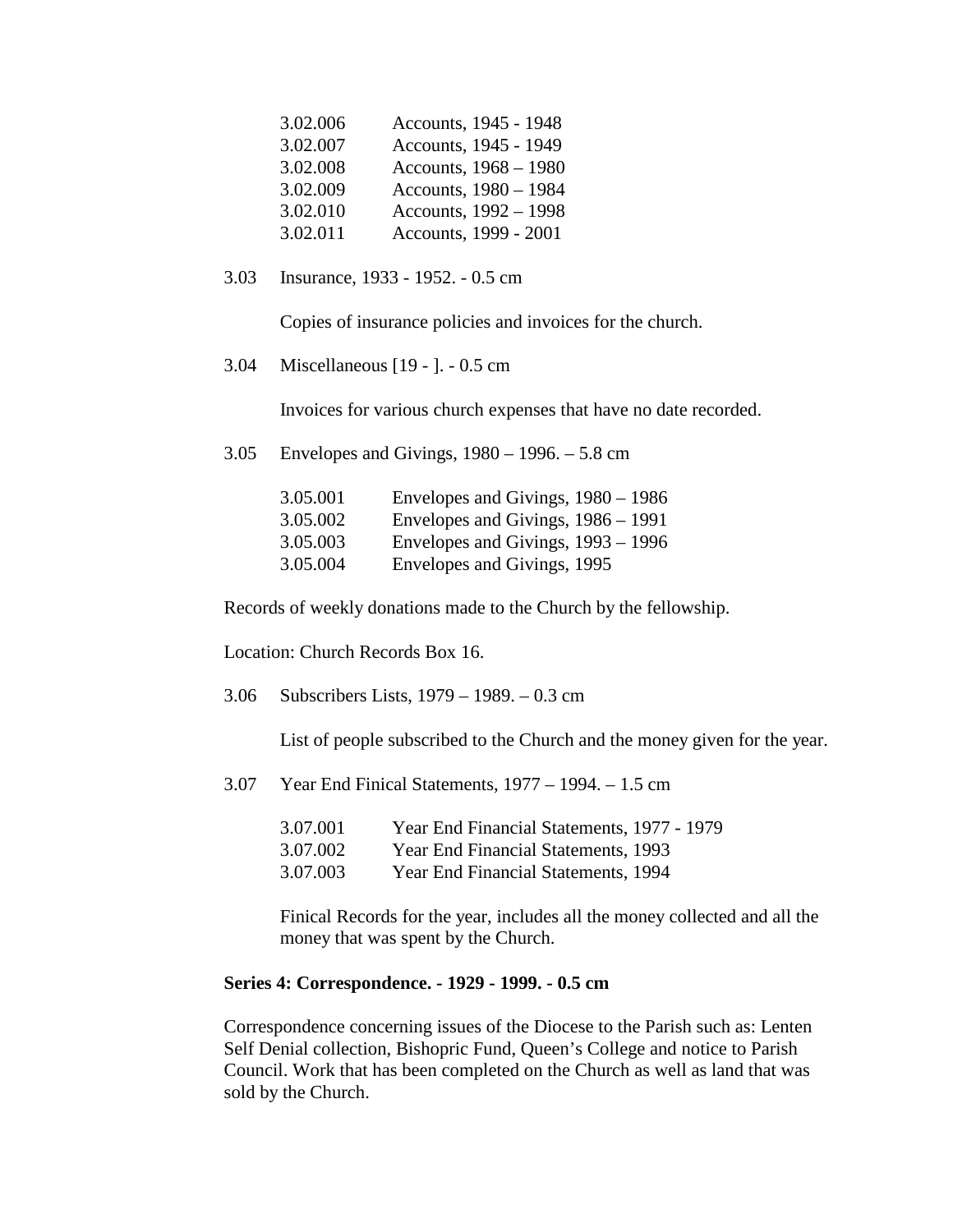| Accounts, 1945 - 1948 |
|-----------------------|
| Accounts, 1945 - 1949 |
| Accounts, 1968 - 1980 |
| Accounts, 1980 - 1984 |
| Accounts, 1992 - 1998 |
| Accounts, 1999 - 2001 |
|                       |

3.03 Insurance, 1933 - 1952. - 0.5 cm

Copies of insurance policies and invoices for the church.

3.04 Miscellaneous [19 - ]. - 0.5 cm

Invoices for various church expenses that have no date recorded.

3.05 Envelopes and Givings, 1980 – 1996. – 5.8 cm

| 3.05.001 | Envelopes and Givings, $1980 - 1986$ |
|----------|--------------------------------------|
| 3.05.002 | Envelopes and Givings, 1986 – 1991   |
| 3.05.003 | Envelopes and Givings, 1993 – 1996   |
| 3.05.004 | Envelopes and Givings, 1995          |

Records of weekly donations made to the Church by the fellowship.

Location: Church Records Box 16.

3.06 Subscribers Lists, 1979 – 1989. – 0.3 cm

List of people subscribed to the Church and the money given for the year.

3.07 Year End Finical Statements, 1977 – 1994. – 1.5 cm

| 3.07.001 | Year End Financial Statements, 1977 - 1979 |
|----------|--------------------------------------------|
| 3.07.002 | Year End Financial Statements, 1993        |
| 3.07.003 | Year End Financial Statements, 1994        |

Finical Records for the year, includes all the money collected and all the money that was spent by the Church.

#### **Series 4: Correspondence. - 1929 - 1999. - 0.5 cm**

Correspondence concerning issues of the Diocese to the Parish such as: Lenten Self Denial collection, Bishopric Fund, Queen's College and notice to Parish Council. Work that has been completed on the Church as well as land that was sold by the Church.